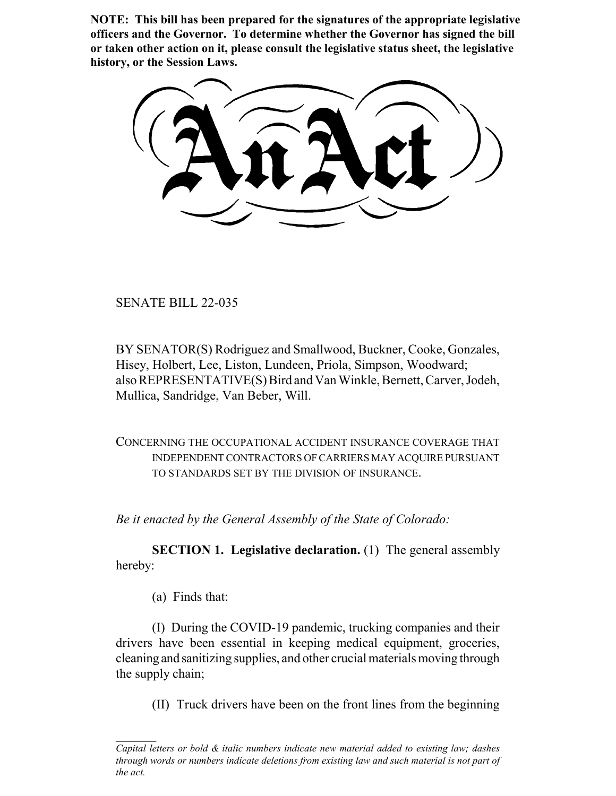**NOTE: This bill has been prepared for the signatures of the appropriate legislative officers and the Governor. To determine whether the Governor has signed the bill or taken other action on it, please consult the legislative status sheet, the legislative history, or the Session Laws.**

SENATE BILL 22-035

BY SENATOR(S) Rodriguez and Smallwood, Buckner, Cooke, Gonzales, Hisey, Holbert, Lee, Liston, Lundeen, Priola, Simpson, Woodward; also REPRESENTATIVE(S) Bird and Van Winkle, Bernett, Carver, Jodeh, Mullica, Sandridge, Van Beber, Will.

CONCERNING THE OCCUPATIONAL ACCIDENT INSURANCE COVERAGE THAT INDEPENDENT CONTRACTORS OF CARRIERS MAY ACQUIRE PURSUANT TO STANDARDS SET BY THE DIVISION OF INSURANCE.

*Be it enacted by the General Assembly of the State of Colorado:*

**SECTION 1. Legislative declaration.** (1) The general assembly hereby:

(a) Finds that:

(I) During the COVID-19 pandemic, trucking companies and their drivers have been essential in keeping medical equipment, groceries, cleaning and sanitizing supplies, and other crucial materials moving through the supply chain;

(II) Truck drivers have been on the front lines from the beginning

*Capital letters or bold & italic numbers indicate new material added to existing law; dashes through words or numbers indicate deletions from existing law and such material is not part of the act.*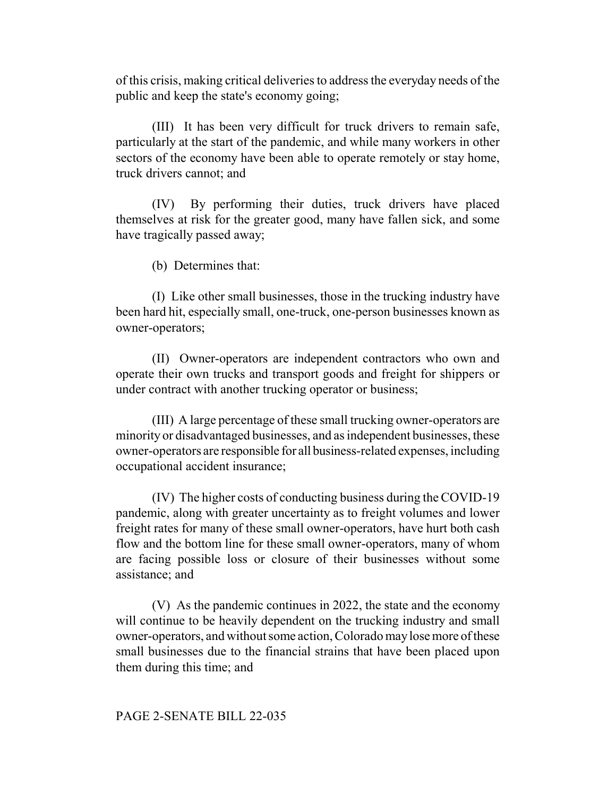of this crisis, making critical deliveries to address the everyday needs of the public and keep the state's economy going;

(III) It has been very difficult for truck drivers to remain safe, particularly at the start of the pandemic, and while many workers in other sectors of the economy have been able to operate remotely or stay home, truck drivers cannot; and

(IV) By performing their duties, truck drivers have placed themselves at risk for the greater good, many have fallen sick, and some have tragically passed away;

(b) Determines that:

(I) Like other small businesses, those in the trucking industry have been hard hit, especially small, one-truck, one-person businesses known as owner-operators;

(II) Owner-operators are independent contractors who own and operate their own trucks and transport goods and freight for shippers or under contract with another trucking operator or business;

(III) A large percentage of these small trucking owner-operators are minority or disadvantaged businesses, and as independent businesses, these owner-operators are responsible for all business-related expenses, including occupational accident insurance;

(IV) The higher costs of conducting business during the COVID-19 pandemic, along with greater uncertainty as to freight volumes and lower freight rates for many of these small owner-operators, have hurt both cash flow and the bottom line for these small owner-operators, many of whom are facing possible loss or closure of their businesses without some assistance; and

(V) As the pandemic continues in 2022, the state and the economy will continue to be heavily dependent on the trucking industry and small owner-operators, and without some action, Colorado may lose more of these small businesses due to the financial strains that have been placed upon them during this time; and

## PAGE 2-SENATE BILL 22-035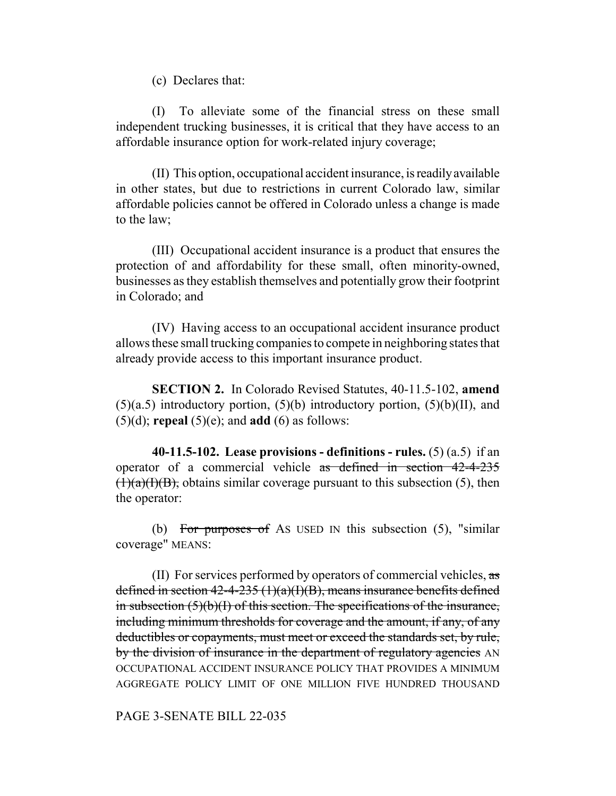(c) Declares that:

(I) To alleviate some of the financial stress on these small independent trucking businesses, it is critical that they have access to an affordable insurance option for work-related injury coverage;

(II) This option, occupational accident insurance, is readily available in other states, but due to restrictions in current Colorado law, similar affordable policies cannot be offered in Colorado unless a change is made to the law;

(III) Occupational accident insurance is a product that ensures the protection of and affordability for these small, often minority-owned, businesses as they establish themselves and potentially grow their footprint in Colorado; and

(IV) Having access to an occupational accident insurance product allows these small trucking companies to compete in neighboring states that already provide access to this important insurance product.

**SECTION 2.** In Colorado Revised Statutes, 40-11.5-102, **amend**  $(5)(a.5)$  introductory portion,  $(5)(b)$  introductory portion,  $(5)(b)(II)$ , and (5)(d); **repeal** (5)(e); and **add** (6) as follows:

**40-11.5-102. Lease provisions - definitions - rules.** (5) (a.5) if an operator of a commercial vehicle as defined in section 42-4-235  $(1)(a)(I)(B)$ , obtains similar coverage pursuant to this subsection (5), then the operator:

(b) For purposes of As USED IN this subsection  $(5)$ , "similar coverage" MEANS:

(II) For services performed by operators of commercial vehicles,  $\alpha s$ defined in section  $42-4-235(1)(a)(I)(B)$ , means insurance benefits defined in subsection  $(5)(b)(I)$  of this section. The specifications of the insurance, including minimum thresholds for coverage and the amount, if any, of any deductibles or copayments, must meet or exceed the standards set, by rule, by the division of insurance in the department of regulatory agencies AN OCCUPATIONAL ACCIDENT INSURANCE POLICY THAT PROVIDES A MINIMUM AGGREGATE POLICY LIMIT OF ONE MILLION FIVE HUNDRED THOUSAND

PAGE 3-SENATE BILL 22-035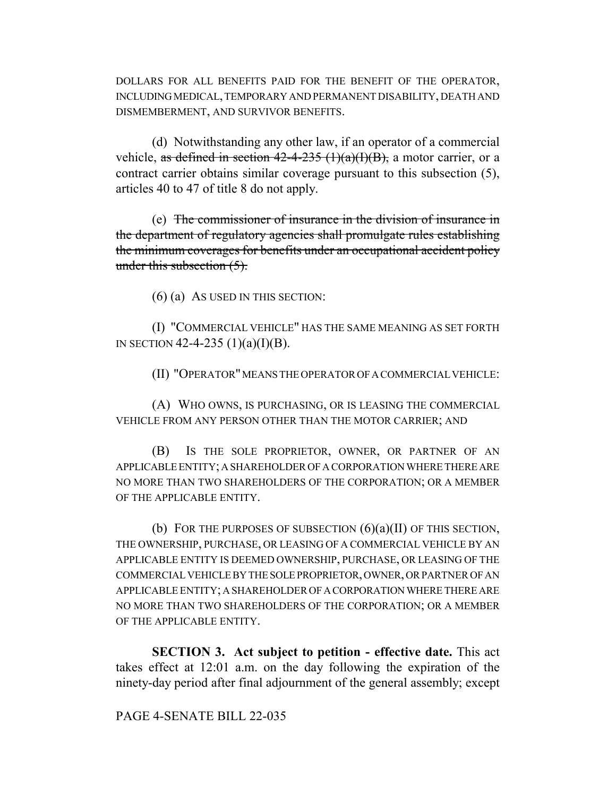DOLLARS FOR ALL BENEFITS PAID FOR THE BENEFIT OF THE OPERATOR, INCLUDING MEDICAL, TEMPORARY AND PERMANENT DISABILITY, DEATH AND DISMEMBERMENT, AND SURVIVOR BENEFITS.

(d) Notwithstanding any other law, if an operator of a commercial vehicle, as defined in section  $42-4-235$   $(1)(a)(I)(B)$ , a motor carrier, or a contract carrier obtains similar coverage pursuant to this subsection (5), articles 40 to 47 of title 8 do not apply.

(e) The commissioner of insurance in the division of insurance in the department of regulatory agencies shall promulgate rules establishing the minimum coverages for benefits under an occupational accident policy under this subsection (5).

(6) (a) AS USED IN THIS SECTION:

(I) "COMMERCIAL VEHICLE" HAS THE SAME MEANING AS SET FORTH IN SECTION 42-4-235  $(1)(a)(I)(B)$ .

(II) "OPERATOR" MEANS THE OPERATOR OF A COMMERCIAL VEHICLE:

(A) WHO OWNS, IS PURCHASING, OR IS LEASING THE COMMERCIAL VEHICLE FROM ANY PERSON OTHER THAN THE MOTOR CARRIER; AND

(B) IS THE SOLE PROPRIETOR, OWNER, OR PARTNER OF AN APPLICABLE ENTITY; A SHAREHOLDER OF A CORPORATION WHERE THERE ARE NO MORE THAN TWO SHAREHOLDERS OF THE CORPORATION; OR A MEMBER OF THE APPLICABLE ENTITY.

(b) FOR THE PURPOSES OF SUBSECTION  $(6)(a)(II)$  OF THIS SECTION, THE OWNERSHIP, PURCHASE, OR LEASING OF A COMMERCIAL VEHICLE BY AN APPLICABLE ENTITY IS DEEMED OWNERSHIP, PURCHASE, OR LEASING OF THE COMMERCIAL VEHICLE BY THE SOLE PROPRIETOR, OWNER, OR PARTNER OF AN APPLICABLE ENTITY; A SHAREHOLDER OF A CORPORATION WHERE THERE ARE NO MORE THAN TWO SHAREHOLDERS OF THE CORPORATION; OR A MEMBER OF THE APPLICABLE ENTITY.

**SECTION 3. Act subject to petition - effective date.** This act takes effect at 12:01 a.m. on the day following the expiration of the ninety-day period after final adjournment of the general assembly; except

## PAGE 4-SENATE BILL 22-035